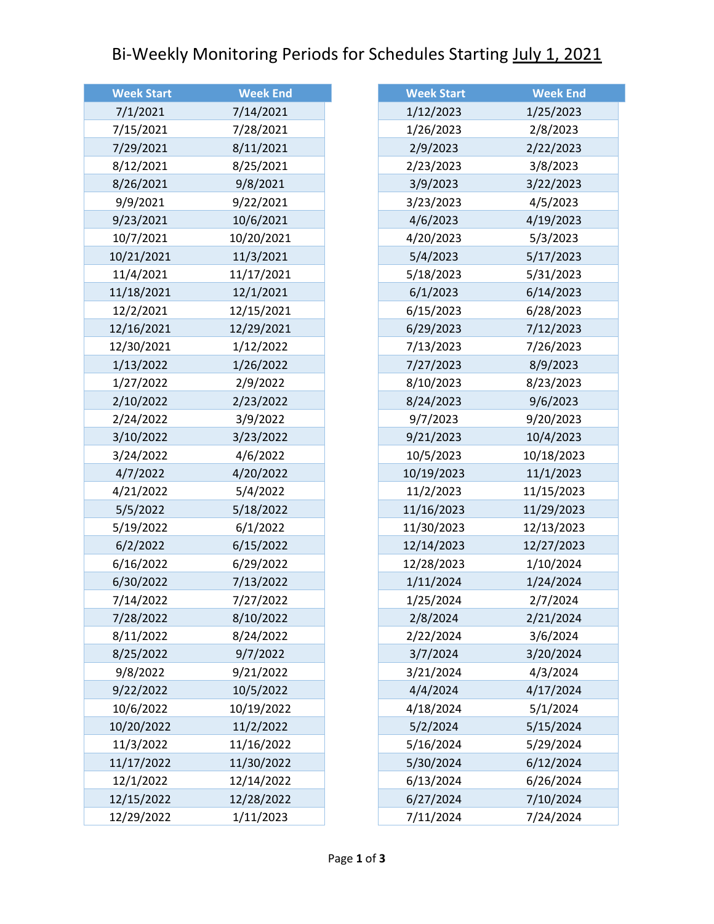## Bi-Weekly Monitoring Periods for Schedules Starting July 1, 2021

| <b>Week Start</b> | <b>Week End</b> |
|-------------------|-----------------|
| 7/1/2021          | 7/14/2021       |
| 7/15/2021         | 7/28/2021       |
| 7/29/2021         | 8/11/2021       |
| 8/12/2021         | 8/25/2021       |
| 8/26/2021         | 9/8/2021        |
| 9/9/2021          | 9/22/2021       |
| 9/23/2021         | 10/6/2021       |
| 10/7/2021         | 10/20/2021      |
| 10/21/2021        | 11/3/2021       |
| 11/4/2021         | 11/17/2021      |
| 11/18/2021        | 12/1/2021       |
| 12/2/2021         | 12/15/2021      |
| 12/16/2021        | 12/29/2021      |
| 12/30/2021        | 1/12/2022       |
| 1/13/2022         | 1/26/2022       |
| 1/27/2022         | 2/9/2022        |
| 2/10/2022         | 2/23/2022       |
| 2/24/2022         | 3/9/2022        |
| 3/10/2022         | 3/23/2022       |
| 3/24/2022         | 4/6/2022        |
| 4/7/2022          | 4/20/2022       |
| 4/21/2022         | 5/4/2022        |
| 5/5/2022          | 5/18/2022       |
| 5/19/2022         | 6/1/2022        |
| 6/2/2022          | 6/15/2022       |
| 6/16/2022         | 6/29/2022       |
| 6/30/2022         | 7/13/2022       |
| 7/14/2022         | 7/27/2022       |
| 7/28/2022         | 8/10/2022       |
| 8/11/2022         | 8/24/2022       |
| 8/25/2022         | 9/7/2022        |
| 9/8/2022          | 9/21/2022       |
| 9/22/2022         | 10/5/2022       |
| 10/6/2022         | 10/19/2022      |
| 10/20/2022        | 11/2/2022       |
| 11/3/2022         | 11/16/2022      |
| 11/17/2022        | 11/30/2022      |
| 12/1/2022         | 12/14/2022      |
| 12/15/2022        | 12/28/2022      |
| 12/29/2022        | 1/11/2023       |

| <b>Week Start</b> | <b>Week End</b> |
|-------------------|-----------------|
| 1/12/2023         | 1/25/2023       |
| 1/26/2023         | 2/8/2023        |
| 2/9/2023          | 2/22/2023       |
| 2/23/2023         | 3/8/2023        |
| 3/9/2023          | 3/22/2023       |
| 3/23/2023         | 4/5/2023        |
| 4/6/2023          | 4/19/2023       |
| 4/20/2023         | 5/3/2023        |
| 5/4/2023          | 5/17/2023       |
| 5/18/2023         | 5/31/2023       |
| 6/1/2023          | 6/14/2023       |
| 6/15/2023         | 6/28/2023       |
| 6/29/2023         | 7/12/2023       |
| 7/13/2023         | 7/26/2023       |
| 7/27/2023         | 8/9/2023        |
| 8/10/2023         | 8/23/2023       |
| 8/24/2023         | 9/6/2023        |
| 9/7/2023          | 9/20/2023       |
| 9/21/2023         | 10/4/2023       |
| 10/5/2023         | 10/18/2023      |
| 10/19/2023        | 11/1/2023       |
| 11/2/2023         | 11/15/2023      |
| 11/16/2023        | 11/29/2023      |
| 11/30/2023        | 12/13/2023      |
| 12/14/2023        | 12/27/2023      |
| 12/28/2023        | 1/10/2024       |
| 1/11/2024         | 1/24/2024       |
| 1/25/2024         | 2/7/2024        |
| 2/8/2024          | 2/21/2024       |
| 2/22/2024         | 3/6/2024        |
| 3/7/2024          | 3/20/2024       |
| 3/21/2024         | 4/3/2024        |
| 4/4/2024          | 4/17/2024       |
| 4/18/2024         | 5/1/2024        |
| 5/2/2024          | 5/15/2024       |
| 5/16/2024         | 5/29/2024       |
| 5/30/2024         | 6/12/2024       |
| 6/13/2024         | 6/26/2024       |
| 6/27/2024         | 7/10/2024       |
| 7/11/2024         | 7/24/2024       |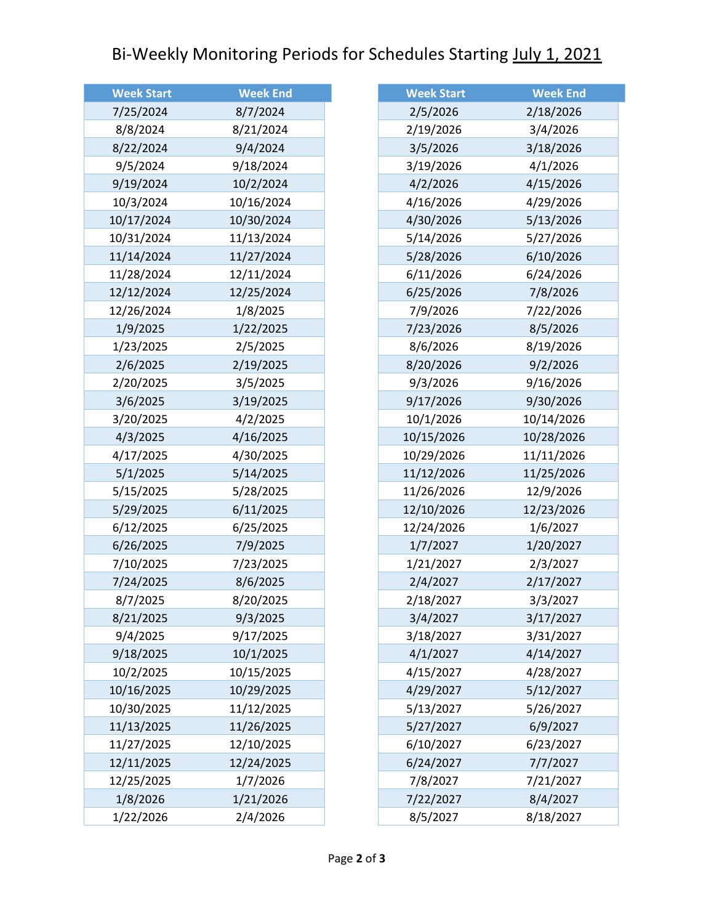## Bi-Weekly Monitoring Periods for Schedules Starting July 1, 2021

| <b>Week Start</b> | <b>Week End</b> |
|-------------------|-----------------|
| 7/25/2024         | 8/7/2024        |
| 8/8/2024          | 8/21/2024       |
| 8/22/2024         | 9/4/2024        |
| 9/5/2024          | 9/18/2024       |
| 9/19/2024         | 10/2/2024       |
| 10/3/2024         | 10/16/2024      |
| 10/17/2024        | 10/30/2024      |
| 10/31/2024        | 11/13/2024      |
| 11/14/2024        | 11/27/2024      |
| 11/28/2024        | 12/11/2024      |
| 12/12/2024        | 12/25/2024      |
| 12/26/2024        | 1/8/2025        |
| 1/9/2025          | 1/22/2025       |
| 1/23/2025         | 2/5/2025        |
| 2/6/2025          | 2/19/2025       |
| 2/20/2025         | 3/5/2025        |
| 3/6/2025          | 3/19/2025       |
| 3/20/2025         | 4/2/2025        |
| 4/3/2025          | 4/16/2025       |
| 4/17/2025         | 4/30/2025       |
| 5/1/2025          | 5/14/2025       |
| 5/15/2025         | 5/28/2025       |
| 5/29/2025         | 6/11/2025       |
| 6/12/2025         | 6/25/2025       |
| 6/26/2025         | 7/9/2025        |
| 7/10/2025         | 7/23/2025       |
| 7/24/2025         | 8/6/2025        |
| 8/7/2025          | 8/20/2025       |
| 8/21/2025         | 9/3/2025        |
| 9/4/2025          | 9/17/2025       |
| 9/18/2025         | 10/1/2025       |
| 10/2/2025         | 10/15/2025      |
| 10/16/2025        | 10/29/2025      |
| 10/30/2025        | 11/12/2025      |
| 11/13/2025        | 11/26/2025      |
| 11/27/2025        | 12/10/2025      |
| 12/11/2025        | 12/24/2025      |
| 12/25/2025        | 1/7/2026        |
| 1/8/2026          | 1/21/2026       |
| 1/22/2026         | 2/4/2026        |

| <b>Week Start</b> | <b>Week End</b> |
|-------------------|-----------------|
| 2/5/2026          | 2/18/2026       |
| 2/19/2026         | 3/4/2026        |
| 3/5/2026          | 3/18/2026       |
| 3/19/2026         | 4/1/2026        |
| 4/2/2026          | 4/15/2026       |
| 4/16/2026         | 4/29/2026       |
| 4/30/2026         | 5/13/2026       |
| 5/14/2026         | 5/27/2026       |
| 5/28/2026         | 6/10/2026       |
| 6/11/2026         | 6/24/2026       |
| 6/25/2026         | 7/8/2026        |
| 7/9/2026          | 7/22/2026       |
| 7/23/2026         | 8/5/2026        |
| 8/6/2026          | 8/19/2026       |
| 8/20/2026         | 9/2/2026        |
| 9/3/2026          | 9/16/2026       |
| 9/17/2026         | 9/30/2026       |
| 10/1/2026         | 10/14/2026      |
| 10/15/2026        | 10/28/2026      |
| 10/29/2026        | 11/11/2026      |
| 11/12/2026        | 11/25/2026      |
| 11/26/2026        | 12/9/2026       |
| 12/10/2026        | 12/23/2026      |
| 12/24/2026        | 1/6/2027        |
| 1/7/2027          | 1/20/2027       |
| 1/21/2027         | 2/3/2027        |
| 2/4/2027          | 2/17/2027       |
| 2/18/2027         | 3/3/2027        |
| 3/4/2027          | 3/17/2027       |
| 3/18/2027         | 3/31/2027       |
| 4/1/2027          | 4/14/2027       |
| 4/15/2027         | 4/28/2027       |
| 4/29/2027         | 5/12/2027       |
| 5/13/2027         | 5/26/2027       |
| 5/27/2027         | 6/9/2027        |
| 6/10/2027         | 6/23/2027       |
| 6/24/2027         | 7/7/2027        |
| 7/8/2027          | 7/21/2027       |
| 7/22/2027         | 8/4/2027        |
| 8/5/2027          | 8/18/2027       |